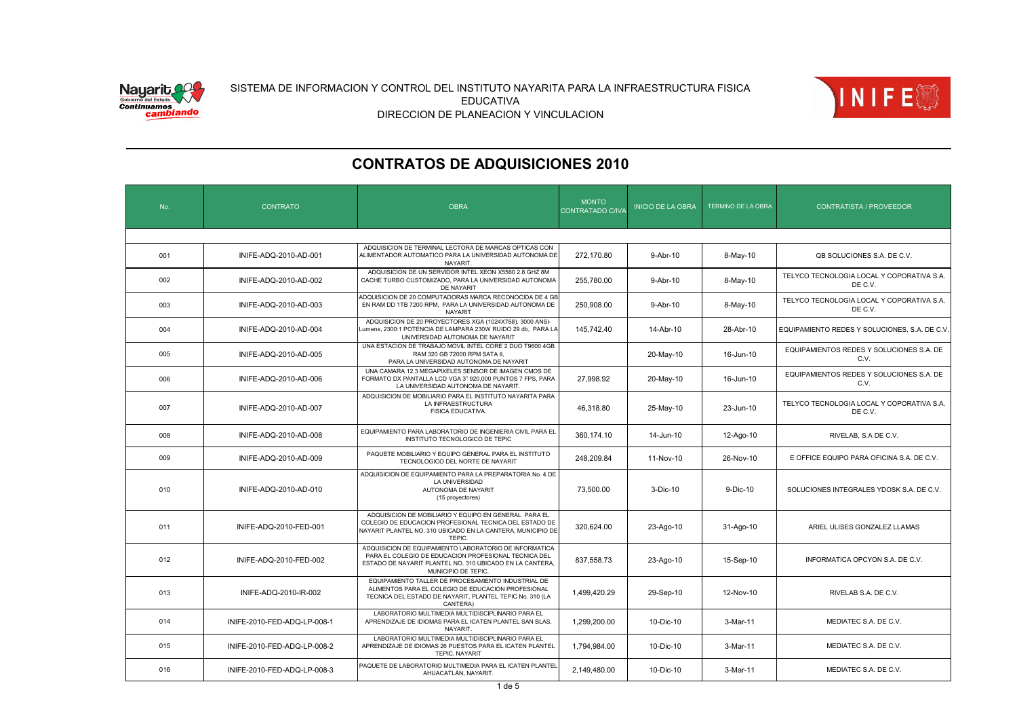



| No. | <b>CONTRATO</b>             | <b>OBRA</b>                                                                                                                                                                                       | <b>MONTO</b><br>CONTRATADO C/IVA | <b>INICIO DE LA OBRA</b> | <b>TERMINO DE LA OBRA</b> | <b>CONTRATISTA / PROVEEDOR</b>                       |
|-----|-----------------------------|---------------------------------------------------------------------------------------------------------------------------------------------------------------------------------------------------|----------------------------------|--------------------------|---------------------------|------------------------------------------------------|
|     |                             |                                                                                                                                                                                                   |                                  |                          |                           |                                                      |
| 001 | INIFE-ADQ-2010-AD-001       | ADQUISICION DE TERMINAL LECTORA DE MARCAS OPTICAS CON<br>ALIMENTADOR AUTOMATICO PARA LA UNIVERSIDAD AUTONOMA DE<br>NAYARIT.                                                                       | 272,170.80                       | 9-Abr-10                 | 8-May-10                  | QB SOLUCIONES S.A. DE C.V.                           |
| 002 | INIFE-ADQ-2010-AD-002       | ADQUISICION DE UN SERVIDOR INTEL XEON X5560 2.8 GHZ 8M<br>CACHE TURBO CUSTOMIZADO. PARA LA UNIVERSIDAD AUTONOMA<br>DE NAYARIT                                                                     | 255,780.00                       | 9-Abr-10                 | 8-May-10                  | TELYCO TECNOLOGIA LOCAL Y COPORATIVA S.A.<br>DE C.V. |
| 003 | INIFE-ADQ-2010-AD-003       | ADQUISICION DE 20 COMPUTADORAS MARCA RECONOCIDA DE 4 GE<br>EN RAM DD 1TB 7200 RPM, PARA LA UNIVERSIDAD AUTONOMA DE<br><b>NAYARIT</b>                                                              | 250,908.00                       | 9-Abr-10                 | 8-May-10                  | TELYCO TECNOLOGIA LOCAL Y COPORATIVA S.A.<br>DE C.V. |
| 004 | INIFE-ADQ-2010-AD-004       | ADQUISICION DE 20 PROYECTORES XGA (1024X768), 3000 ANSI-<br>umens, 2300:1 POTENCIA DE LAMPARA 230W RUIDO 29 db, PARA LA<br>UNIVERSIDAD AUTONOMA DE NAYARIT                                        | 145,742.40                       | 14-Abr-10                | 28-Abr-10                 | EQUIPAMIENTO REDES Y SOLUCIONES, S.A. DE C.V.        |
| 005 | INIFE-ADQ-2010-AD-005       | UNA ESTACION DE TRABAJO MOVIL INTEL CORE 2 DUO T9600 4GB<br>RAM 320 GB 72000 RPM SATA II.<br>PARA LA UNIVERSIDAD AUTONOMA DE NAYARIT                                                              |                                  | 20-May-10                | 16-Jun-10                 | EQUIPAMIENTOS REDES Y SOLUCIONES S.A. DE<br>C.V.     |
| 006 | INIFE-ADQ-2010-AD-006       | UNA CAMARA 12.3 MEGAPIXELES SENSOR DE IMAGEN CMOS DE<br>FORMATO DX PANTALLA LCD VGA 3" 920,000 PUNTOS 7 FPS, PARA<br>LA UNIVERSIDAD AUTONOMA DE NAYARIT                                           | 27.998.92                        | 20-May-10                | 16-Jun-10                 | EQUIPAMIENTOS REDES Y SOLUCIONES S.A. DE<br>C.V.     |
| 007 | INIFE-ADQ-2010-AD-007       | ADQUISICION DE MOBILIARIO PARA EL INSTITUTO NAYARITA PARA<br>LA INFRAESTRUCTURA<br>FISICA EDUCATIVA.                                                                                              | 46,318.80                        | 25-May-10                | 23-Jun-10                 | TELYCO TECNOLOGIA LOCAL Y COPORATIVA S.A.<br>DE C.V. |
| 008 | INIFE-ADQ-2010-AD-008       | EQUIPAMIENTO PARA LABORATORIO DE INGENIERIA CIVIL PARA EL<br>INSTITUTO TECNOLOGICO DE TEPIC                                                                                                       | 360.174.10                       | 14-Jun-10                | 12-Ago-10                 | RIVELAB, S.A DE C.V.                                 |
| 009 | INIFE-ADQ-2010-AD-009       | PAQUETE MOBILIARIO Y EQUIPO GENERAL PARA EL INSTITUTO<br>TECNOLOGICO DEL NORTE DE NAYARIT                                                                                                         | 248,209.84                       | 11-Nov-10                | 26-Nov-10                 | E OFFICE EQUIPO PARA OFICINA S.A. DE C.V.            |
| 010 | INIFE-ADQ-2010-AD-010       | ADQUISICION DE EQUIPAMIENTO PARA LA PREPARATORIA No. 4 DE<br>LA UNIVERSIDAD<br>AUTONOMA DE NAYARIT<br>(15 proyectores)                                                                            | 73,500.00                        | 3-Dic-10                 | 9-Dic-10                  | SOLUCIONES INTEGRALES YDOSK S.A. DE C.V.             |
| 011 | INIFE-ADQ-2010-FED-001      | ADQUISICION DE MOBILIARIO Y EQUIPO EN GENERAL PARA EL<br>COLEGIO DE EDUCACION PROFESIONAL TECNICA DEL ESTADO DE<br>NAYARIT PLANTEL NO. 310 UBICADO EN LA CANTERA, MUNICIPIO DE<br>TEPIC.          | 320,624.00                       | 23-Ago-10                | 31-Ago-10                 | ARIEL ULISES GONZALEZ LLAMAS                         |
| 012 | INIFE-ADQ-2010-FED-002      | ADQUISICION DE EQUIPAMIENTO LABORATORIO DE INFORMATICA<br>PARA EL COLEGIO DE EDUCACION PROFESIONAL TECNICA DEL<br>ESTADO DE NAYARIT PLANTEL NO. 310 UBICADO EN LA CANTERA,<br>MUNICIPIO DE TEPIC. | 837,558.73                       | 23-Ago-10                | 15-Sep-10                 | INFORMATICA OPCYON S.A. DE C.V.                      |
| 013 | INIFE-ADQ-2010-IR-002       | EQUIPAMIENTO TALLER DE PROCESAMIENTO INDUSTRIAL DE<br>ALIMENTOS PARA EL COLEGIO DE EDUCACION PROFESIONAL<br>TECNICA DEL ESTADO DE NAYARIT, PLANTEL TEPIC No. 310 (LA<br>CANTERA)                  | 1,499,420.29                     | 29-Sep-10                | 12-Nov-10                 | RIVELAB S.A. DE C.V.                                 |
| 014 | INIFE-2010-FED-ADQ-LP-008-1 | LABORATORIO MULTIMEDIA MULTIDISCIPLINARIO PARA EL<br>APRENDIZAJE DE IDIOMAS PARA EL ICATEN PLANTEL SAN BLAS,<br><b>NAYARIT</b>                                                                    | 1,299,200.00                     | 10-Dic-10                | 3-Mar-11                  | MEDIATEC S.A. DE C.V.                                |
| 015 | INIFE-2010-FED-ADQ-LP-008-2 | LABORATORIO MULTIMEDIA MULTIDISCIPLINARIO PARA EL<br>APRENDIZAJE DE IDIOMAS 26 PUESTOS PARA EL ICATEN PLANTEL<br><b>TEPIC, NAYARIT</b>                                                            | 1,794,984.00                     | 10-Dic-10                | 3-Mar-11                  | MEDIATEC S.A. DE C.V.                                |
| 016 | INIFE-2010-FED-ADQ-LP-008-3 | PAQUETE DE LABORATORIO MULTIMEDIA PARA EL ICATEN PLANTEL<br>AHUACATLÁN, NAYARIT.                                                                                                                  | 2,149,480.00                     | 10-Dic-10                | 3-Mar-11                  | MEDIATEC S.A. DE C.V.                                |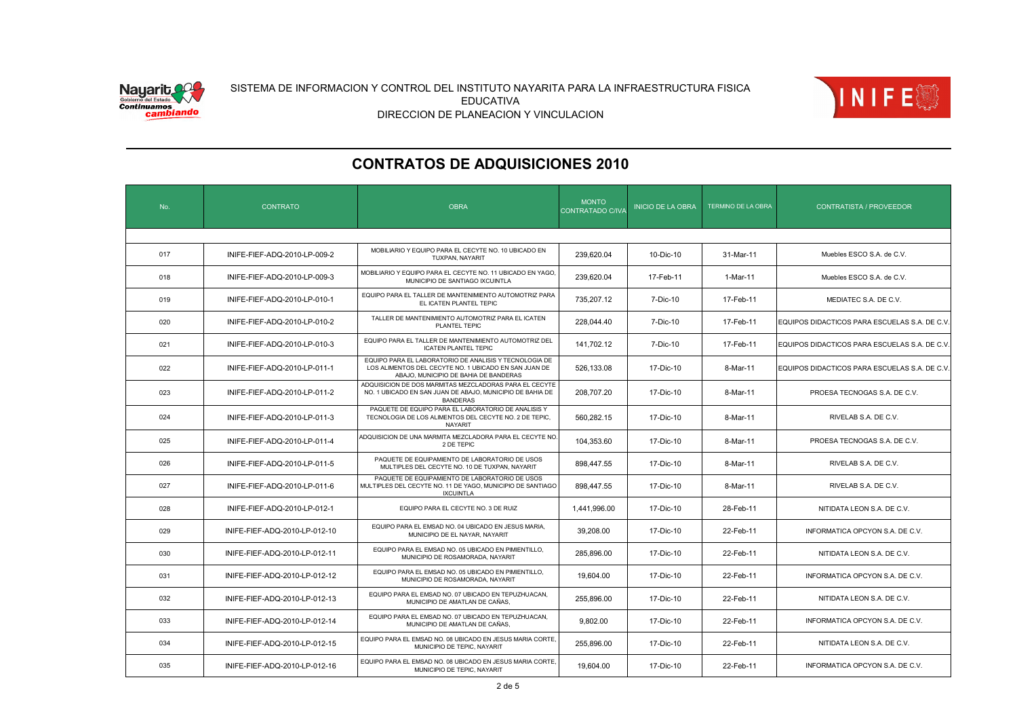



| No. | <b>CONTRATO</b>               | <b>OBRA</b>                                                                                                                                              | <b>MONTO</b><br>CONTRATADO C/IVA | <b>INICIO DE LA OBRA</b> | TERMINO DE LA OBRA | <b>CONTRATISTA / PROVEEDOR</b>                |
|-----|-------------------------------|----------------------------------------------------------------------------------------------------------------------------------------------------------|----------------------------------|--------------------------|--------------------|-----------------------------------------------|
|     |                               |                                                                                                                                                          |                                  |                          |                    |                                               |
| 017 | INIFE-FIEF-ADQ-2010-LP-009-2  | MOBILIARIO Y EQUIPO PARA EL CECYTE NO. 10 UBICADO EN<br>TUXPAN, NAYARIT                                                                                  | 239.620.04                       | 10-Dic-10                | 31-Mar-11          | Muebles ESCO S.A. de C.V.                     |
| 018 | INIFE-FIEF-ADQ-2010-LP-009-3  | MOBILIARIO Y EQUIPO PARA EL CECYTE NO. 11 UBICADO EN YAGO,<br>MUNICIPIO DE SANTIAGO IXCUINTLA                                                            | 239,620.04                       | 17-Feb-11                | 1-Mar-11           | Muebles ESCO S.A. de C.V.                     |
| 019 | INIFE-FIEF-ADQ-2010-LP-010-1  | EQUIPO PARA EL TALLER DE MANTENIMIENTO AUTOMOTRIZ PARA<br>EL ICATEN PLANTEL TEPIC                                                                        | 735,207.12                       | 7-Dic-10                 | 17-Feb-11          | MEDIATEC S.A. DE C.V.                         |
| 020 | INIFE-FIEF-ADQ-2010-LP-010-2  | TALLER DE MANTENIMIENTO AUTOMOTRIZ PARA EL ICATEN<br>PLANTEL TEPIC                                                                                       | 228,044.40                       | 7-Dic-10                 | 17-Feb-11          | EQUIPOS DIDACTICOS PARA ESCUELAS S.A. DE C.V. |
| 021 | INIFE-FIEF-ADQ-2010-LP-010-3  | EQUIPO PARA EL TALLER DE MANTENIMIENTO AUTOMOTRIZ DEL<br><b>ICATEN PLANTEL TEPIC</b>                                                                     | 141.702.12                       | 7-Dic-10                 | 17-Feb-11          | EQUIPOS DIDACTICOS PARA ESCUELAS S.A. DE C.V. |
| 022 | INIFE-FIEF-ADQ-2010-LP-011-1  | EQUIPO PARA EL LABORATORIO DE ANALISIS Y TECNOLOGIA DE<br>LOS ALIMENTOS DEL CECYTE NO. 1 UBICADO EN SAN JUAN DE<br>ABAJO, MUNICIPIO DE BAHIA DE BANDERAS | 526.133.08                       | 17-Dic-10                | 8-Mar-11           | EQUIPOS DIDACTICOS PARA ESCUELAS S.A. DE C.V. |
| 023 | INIFE-FIEF-ADQ-2010-LP-011-2  | ADQUISICION DE DOS MARMITAS MEZCLADORAS PARA EL CECYTE<br>NO. 1 UBICADO EN SAN JUAN DE ABAJO, MUNICIPIO DE BAHIA DE<br><b>BANDERAS</b>                   | 208,707.20                       | 17-Dic-10                | 8-Mar-11           | PROESA TECNOGAS S.A. DE C.V.                  |
| 024 | INIFE-FIEF-ADQ-2010-LP-011-3  | PAQUETE DE EQUIPO PARA EL LABORATORIO DE ANALISIS Y<br>TECNOLOGIA DE LOS ALIMENTOS DEL CECYTE NO. 2 DE TEPIC,<br><b>NAYARIT</b>                          | 560.282.15                       | 17-Dic-10                | 8-Mar-11           | RIVELAB S.A. DE C.V.                          |
| 025 | INIFE-FIEF-ADQ-2010-LP-011-4  | ADQUISICION DE UNA MARMITA MEZCLADORA PARA EL CECYTE NO.<br>2 DE TEPIC                                                                                   | 104,353.60                       | 17-Dic-10                | 8-Mar-11           | PROESA TECNOGAS S.A. DE C.V.                  |
| 026 | INIFE-FIEF-ADQ-2010-LP-011-5  | PAQUETE DE EQUIPAMIENTO DE LABORATORIO DE USOS<br>MULTIPLES DEL CECYTE NO. 10 DE TUXPAN, NAYARIT                                                         | 898.447.55                       | 17-Dic-10                | 8-Mar-11           | RIVELAB S.A. DE C.V.                          |
| 027 | INIFE-FIEF-ADQ-2010-LP-011-6  | PAQUETE DE EQUIPAMIENTO DE LABORATORIO DE USOS<br>MULTIPLES DEL CECYTE NO. 11 DE YAGO, MUNICIPIO DE SANTIAGO<br><b>IXCUINTLA</b>                         | 898,447.55                       | 17-Dic-10                | 8-Mar-11           | RIVELAB S.A. DE C.V.                          |
| 028 | INIFE-FIEF-ADQ-2010-LP-012-1  | EQUIPO PARA EL CECYTE NO. 3 DE RUIZ                                                                                                                      | 1,441,996.00                     | 17-Dic-10                | 28-Feb-11          | NITIDATA LEON S.A. DE C.V.                    |
| 029 | INIFE-FIEF-ADQ-2010-LP-012-10 | EQUIPO PARA EL EMSAD NO. 04 UBICADO EN JESUS MARIA,<br>MUNICIPIO DE EL NAYAR, NAYARIT                                                                    | 39,208.00                        | 17-Dic-10                | 22-Feb-11          | INFORMATICA OPCYON S.A. DE C.V.               |
| 030 | INIFE-FIEF-ADQ-2010-LP-012-11 | EQUIPO PARA EL EMSAD NO. 05 UBICADO EN PIMIENTILLO,<br>MUNICIPIO DE ROSAMORADA. NAYARIT                                                                  | 285.896.00                       | 17-Dic-10                | 22-Feb-11          | NITIDATA LEON S.A. DE C.V.                    |
| 031 | INIFE-FIEF-ADQ-2010-LP-012-12 | EQUIPO PARA EL EMSAD NO. 05 UBICADO EN PIMIENTILLO,<br>MUNICIPIO DE ROSAMORADA, NAYARIT                                                                  | 19,604.00                        | 17-Dic-10                | 22-Feb-11          | INFORMATICA OPCYON S.A. DE C.V.               |
| 032 | INIFE-FIEF-ADQ-2010-LP-012-13 | EQUIPO PARA EL EMSAD NO. 07 UBICADO EN TEPUZHUACAN,<br>MUNICIPIO DE AMATLAN DE CAÑAS,                                                                    | 255,896.00                       | 17-Dic-10                | 22-Feb-11          | NITIDATA LEON S.A. DE C.V.                    |
| 033 | INIFE-FIEF-ADQ-2010-LP-012-14 | EQUIPO PARA EL EMSAD NO. 07 UBICADO EN TEPUZHUACAN,<br>MUNICIPIO DE AMATLAN DE CAÑAS.                                                                    | 9,802.00                         | 17-Dic-10                | 22-Feb-11          | INFORMATICA OPCYON S.A. DE C.V.               |
| 034 | INIFE-FIEF-ADQ-2010-LP-012-15 | EQUIPO PARA EL EMSAD NO. 08 UBICADO EN JESUS MARIA CORTE,<br>MUNICIPIO DE TEPIC. NAYARIT                                                                 | 255,896.00                       | 17-Dic-10                | 22-Feb-11          | NITIDATA LEON S.A. DE C.V.                    |
| 035 | INIFE-FIEF-ADQ-2010-LP-012-16 | EQUIPO PARA EL EMSAD NO. 08 UBICADO EN JESUS MARIA CORTE.<br>MUNICIPIO DE TEPIC, NAYARIT                                                                 | 19,604.00                        | 17-Dic-10                | 22-Feb-11          | INFORMATICA OPCYON S.A. DE C.V.               |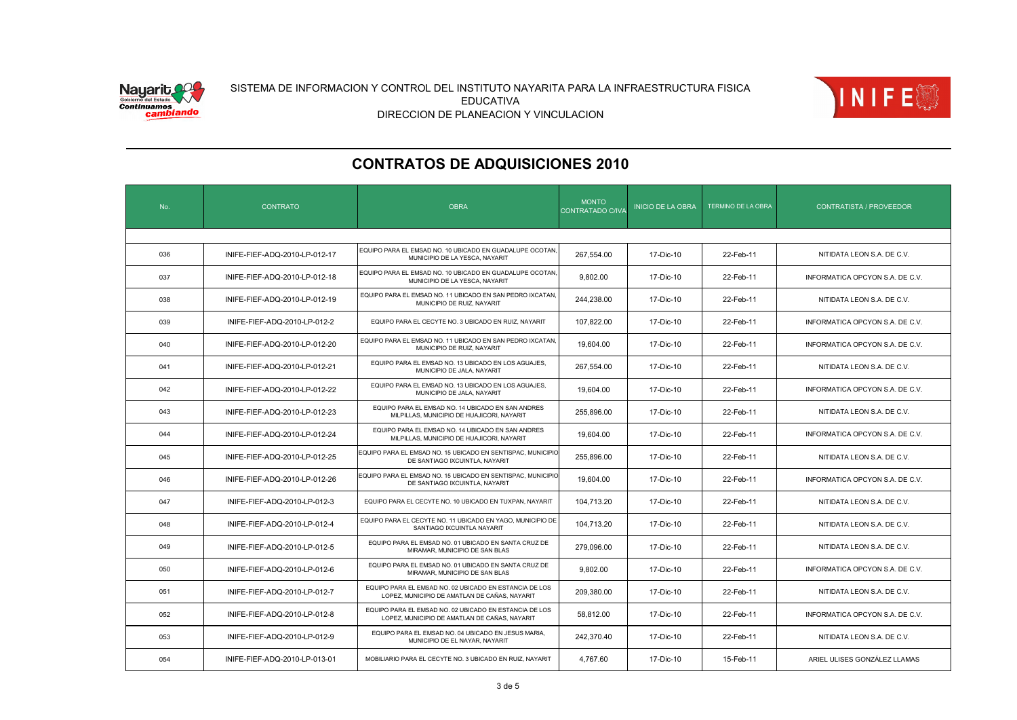



| No. | <b>CONTRATO</b>               | <b>OBRA</b>                                                                                             | <b>MONTO</b><br>CONTRATADO C/IVA | <b>INICIO DE LA OBRA</b> | TERMINO DE LA OBRA | <b>CONTRATISTA / PROVEEDOR</b>  |
|-----|-------------------------------|---------------------------------------------------------------------------------------------------------|----------------------------------|--------------------------|--------------------|---------------------------------|
|     |                               |                                                                                                         |                                  |                          |                    |                                 |
| 036 | INIFE-FIEF-ADQ-2010-LP-012-17 | EQUIPO PARA EL EMSAD NO. 10 UBICADO EN GUADALUPE OCOTAN.<br>MUNICIPIO DE LA YESCA, NAYARIT              | 267.554.00                       | 17-Dic-10                | 22-Feb-11          | NITIDATA LEON S.A. DE C.V.      |
| 037 | INIFE-FIEF-ADQ-2010-LP-012-18 | EQUIPO PARA EL EMSAD NO. 10 UBICADO EN GUADALUPE OCOTAN.<br>MUNICIPIO DE LA YESCA, NAYARIT              | 9,802.00                         | 17-Dic-10                | 22-Feb-11          | INFORMATICA OPCYON S.A. DE C.V. |
| 038 | INIFE-FIEF-ADQ-2010-LP-012-19 | EQUIPO PARA EL EMSAD NO. 11 UBICADO EN SAN PEDRO IXCATAN,<br>MUNICIPIO DE RUIZ, NAYARIT                 | 244,238.00                       | 17-Dic-10                | 22-Feb-11          | NITIDATA LEON S.A. DE C.V.      |
| 039 | INIFE-FIEF-ADQ-2010-LP-012-2  | EQUIPO PARA EL CECYTE NO. 3 UBICADO EN RUIZ, NAYARIT                                                    | 107,822.00                       | 17-Dic-10                | 22-Feb-11          | INFORMATICA OPCYON S.A. DE C.V. |
| 040 | INIFE-FIEF-ADQ-2010-LP-012-20 | EQUIPO PARA EL EMSAD NO. 11 UBICADO EN SAN PEDRO IXCATAN,<br>MUNICIPIO DE RUIZ, NAYARIT                 | 19,604.00                        | 17-Dic-10                | 22-Feb-11          | INFORMATICA OPCYON S.A. DE C.V. |
| 041 | INIFE-FIEF-ADQ-2010-LP-012-21 | EQUIPO PARA EL EMSAD NO. 13 UBICADO EN LOS AGUAJES,<br>MUNICIPIO DE JALA, NAYARIT                       | 267,554.00                       | 17-Dic-10                | 22-Feb-11          | NITIDATA LEON S.A. DE C.V.      |
| 042 | INIFE-FIEF-ADQ-2010-LP-012-22 | EQUIPO PARA EL EMSAD NO. 13 UBICADO EN LOS AGUAJES,<br>MUNICIPIO DE JALA, NAYARIT                       | 19.604.00                        | 17-Dic-10                | 22-Feb-11          | INFORMATICA OPCYON S.A. DE C.V. |
| 043 | INIFE-FIEF-ADQ-2010-LP-012-23 | EQUIPO PARA EL EMSAD NO. 14 UBICADO EN SAN ANDRES<br>MILPILLAS, MUNICIPIO DE HUAJICORI, NAYARIT         | 255,896.00                       | 17-Dic-10                | 22-Feb-11          | NITIDATA LEON S.A. DE C.V.      |
| 044 | INIFE-FIEF-ADQ-2010-LP-012-24 | EQUIPO PARA EL EMSAD NO. 14 UBICADO EN SAN ANDRES<br>MILPILLAS, MUNICIPIO DE HUAJICORI, NAYARIT         | 19,604.00                        | 17-Dic-10                | 22-Feb-11          | INFORMATICA OPCYON S.A. DE C.V. |
| 045 | INIFE-FIEF-ADQ-2010-LP-012-25 | EQUIPO PARA EL EMSAD NO. 15 UBICADO EN SENTISPAC. MUNICIPIO<br>DE SANTIAGO IXCUINTLA, NAYARIT           | 255,896.00                       | 17-Dic-10                | 22-Feb-11          | NITIDATA LEON S.A. DE C.V.      |
| 046 | INIFE-FIEF-ADQ-2010-LP-012-26 | EQUIPO PARA EL EMSAD NO. 15 UBICADO EN SENTISPAC, MUNICIPIO<br>DE SANTIAGO IXCUINTLA, NAYARIT           | 19,604.00                        | 17-Dic-10                | 22-Feb-11          | INFORMATICA OPCYON S.A. DE C.V. |
| 047 | INIFE-FIEF-ADQ-2010-LP-012-3  | EQUIPO PARA EL CECYTE NO. 10 UBICADO EN TUXPAN, NAYARIT                                                 | 104,713.20                       | 17-Dic-10                | 22-Feb-11          | NITIDATA LEON S.A. DE C.V.      |
| 048 | INIFE-FIEF-ADQ-2010-LP-012-4  | EQUIPO PARA EL CECYTE NO. 11 UBICADO EN YAGO, MUNICIPIO DE<br>SANTIAGO IXCUINTLA NAYARIT                | 104,713.20                       | 17-Dic-10                | 22-Feb-11          | NITIDATA LEON S.A. DE C.V.      |
| 049 | INIFE-FIEF-ADQ-2010-LP-012-5  | EQUIPO PARA EL EMSAD NO. 01 UBICADO EN SANTA CRUZ DE<br>MIRAMAR, MUNICIPIO DE SAN BLAS                  | 279,096.00                       | 17-Dic-10                | 22-Feb-11          | NITIDATA LEON S.A. DE C.V.      |
| 050 | INIFE-FIEF-ADQ-2010-LP-012-6  | EQUIPO PARA EL EMSAD NO. 01 UBICADO EN SANTA CRUZ DE<br>MIRAMAR, MUNICIPIO DE SAN BLAS                  | 9,802.00                         | 17-Dic-10                | 22-Feb-11          | INFORMATICA OPCYON S.A. DE C.V. |
| 051 | INIFE-FIEF-ADQ-2010-LP-012-7  | EQUIPO PARA EL EMSAD NO. 02 UBICADO EN ESTANCIA DE LOS<br>LOPEZ, MUNICIPIO DE AMATLAN DE CAÑAS, NAYARIT | 209,380.00                       | 17-Dic-10                | 22-Feb-11          | NITIDATA LEON S.A. DE C.V.      |
| 052 | INIFE-FIEF-ADQ-2010-LP-012-8  | EQUIPO PARA EL EMSAD NO. 02 UBICADO EN ESTANCIA DE LOS<br>LOPEZ, MUNICIPIO DE AMATLAN DE CAÑAS, NAYARIT | 58,812.00                        | 17-Dic-10                | 22-Feb-11          | INFORMATICA OPCYON S.A. DE C.V. |
| 053 | INIFE-FIEF-ADQ-2010-LP-012-9  | EQUIPO PARA EL EMSAD NO. 04 UBICADO EN JESUS MARIA.<br>MUNICIPIO DE EL NAYAR, NAYARIT                   | 242,370.40                       | 17-Dic-10                | 22-Feb-11          | NITIDATA LEON S.A. DE C.V.      |
| 054 | INIFE-FIEF-ADQ-2010-LP-013-01 | MOBILIARIO PARA EL CECYTE NO. 3 UBICADO EN RUIZ, NAYARIT                                                | 4.767.60                         | 17-Dic-10                | 15-Feb-11          | ARIEL ULISES GONZÁLEZ LLAMAS    |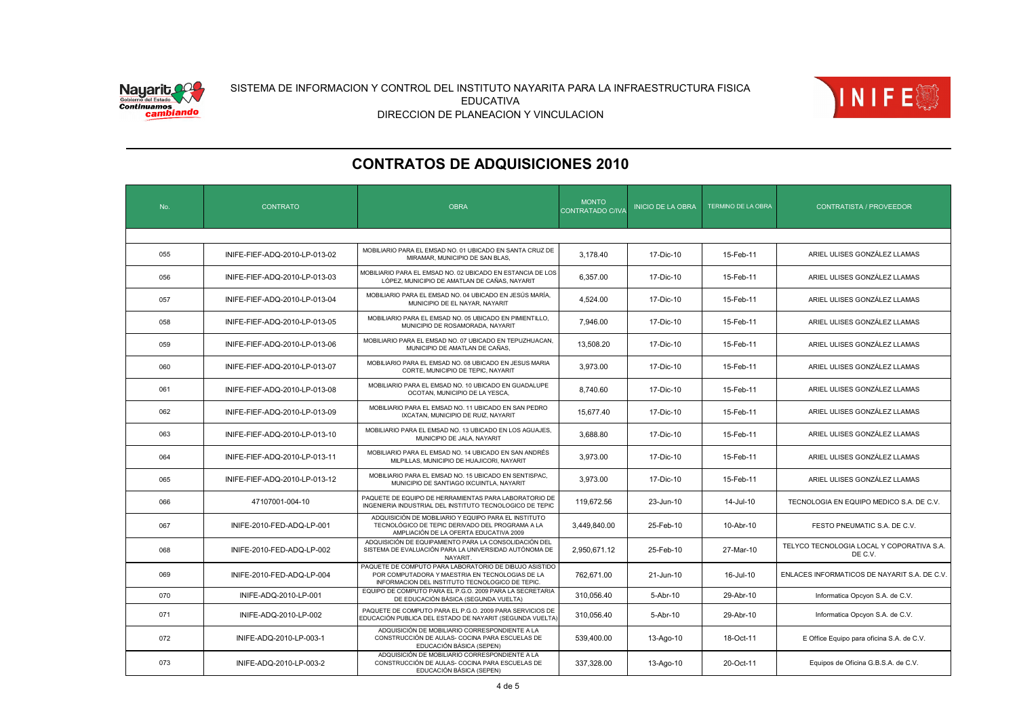



| No. | <b>CONTRATO</b>               | <b>OBRA</b>                                                                                                                                                  | <b>MONTO</b><br>CONTRATADO C/IVA | <b>INICIO DE LA OBRA</b> | <b>TERMINO DE LA OBRA</b> | <b>CONTRATISTA / PROVEEDOR</b>                       |
|-----|-------------------------------|--------------------------------------------------------------------------------------------------------------------------------------------------------------|----------------------------------|--------------------------|---------------------------|------------------------------------------------------|
|     |                               |                                                                                                                                                              |                                  |                          |                           |                                                      |
| 055 | INIFE-FIEF-ADQ-2010-LP-013-02 | MOBILIARIO PARA EL EMSAD NO. 01 UBICADO EN SANTA CRUZ DE<br>MIRAMAR, MUNICIPIO DE SAN BLAS,                                                                  | 3.178.40                         | 17-Dic-10                | 15-Feb-11                 | ARIEL ULISES GONZÁLEZ LLAMAS                         |
| 056 | INIFE-FIEF-ADQ-2010-LP-013-03 | MOBILIARIO PARA EL EMSAD NO. 02 UBICADO EN ESTANCIA DE LOS<br>LÓPEZ, MUNICIPIO DE AMATLAN DE CAÑAS, NAYARIT                                                  | 6,357.00                         | 17-Dic-10                | 15-Feb-11                 | ARIEL ULISES GONZÁLEZ LLAMAS                         |
| 057 | INIFE-FIEF-ADQ-2010-LP-013-04 | MOBILIARIO PARA EL EMSAD NO. 04 UBICADO EN JESÚS MARÍA,<br>MUNICIPIO DE EL NAYAR, NAYARIT                                                                    | 4.524.00                         | 17-Dic-10                | 15-Feb-11                 | ARIEL ULISES GONZÁLEZ LLAMAS                         |
| 058 | INIFE-FIEF-ADQ-2010-LP-013-05 | MOBILIARIO PARA EL EMSAD NO. 05 UBICADO EN PIMIENTILLO.<br>MUNICIPIO DE ROSAMORADA, NAYARIT                                                                  | 7,946.00                         | 17-Dic-10                | 15-Feb-11                 | ARIEL ULISES GONZÁLEZ LLAMAS                         |
| 059 | INIFE-FIEF-ADQ-2010-LP-013-06 | MOBILIARIO PARA EL EMSAD NO. 07 UBICADO EN TEPUZHUACAN,<br>MUNICIPIO DE AMATLAN DE CAÑAS.                                                                    | 13,508.20                        | 17-Dic-10                | 15-Feb-11                 | ARIEL ULISES GONZÁLEZ LLAMAS                         |
| 060 | INIFE-FIEF-ADQ-2010-LP-013-07 | MOBILIARIO PARA EL EMSAD NO. 08 UBICADO EN JESUS MARIA<br>CORTE, MUNICIPIO DE TEPIC, NAYARIT                                                                 | 3.973.00                         | 17-Dic-10                | 15-Feb-11                 | ARIEL ULISES GONZÁLEZ LLAMAS                         |
| 061 | INIFE-FIEF-ADQ-2010-LP-013-08 | MOBILIARIO PARA EL EMSAD NO. 10 UBICADO EN GUADALUPE<br>OCOTAN, MUNICIPIO DE LA YESCA,                                                                       | 8,740.60                         | 17-Dic-10                | 15-Feb-11                 | ARIEL ULISES GONZÁLEZ LLAMAS                         |
| 062 | INIFE-FIEF-ADQ-2010-LP-013-09 | MOBILIARIO PARA EL EMSAD NO. 11 UBICADO EN SAN PEDRO<br>IXCATAN, MUNICIPIO DE RUIZ, NAYARIT                                                                  | 15.677.40                        | 17-Dic-10                | 15-Feb-11                 | ARIEL ULISES GONZÁLEZ LLAMAS                         |
| 063 | INIFE-FIEF-ADQ-2010-LP-013-10 | MOBILIARIO PARA EL EMSAD NO. 13 UBICADO EN LOS AGUAJES,<br>MUNICIPIO DE JALA, NAYARIT                                                                        | 3.688.80                         | 17-Dic-10                | 15-Feb-11                 | ARIEL ULISES GONZÁLEZ LLAMAS                         |
| 064 | INIFE-FIEF-ADQ-2010-LP-013-11 | MOBILIARIO PARA EL EMSAD NO. 14 UBICADO EN SAN ANDRÉS<br>MILPILLAS, MUNICIPIO DE HUAJICORI, NAYARIT                                                          | 3.973.00                         | 17-Dic-10                | 15-Feb-11                 | ARIEL ULISES GONZÁLEZ LLAMAS                         |
| 065 | INIFE-FIEF-ADQ-2010-LP-013-12 | MOBILIARIO PARA EL EMSAD NO. 15 UBICADO EN SENTISPAC,<br>MUNICIPIO DE SANTIAGO IXCUINTLA, NAYARIT                                                            | 3,973.00                         | 17-Dic-10                | 15-Feb-11                 | ARIEL ULISES GONZÁLEZ LLAMAS                         |
| 066 | 47107001-004-10               | PAQUETE DE EQUIPO DE HERRAMIENTAS PARA LABORATORIO DE<br>INGENIERIA INDUSTRIAL DEL INSTITUTO TECNOLOGICO DE TEPIC                                            | 119.672.56                       | 23-Jun-10                | 14-Jul-10                 | TECNOLOGIA EN EQUIPO MEDICO S.A. DE C.V.             |
| 067 | INIFE-2010-FED-ADQ-LP-001     | ADQUISICIÓN DE MOBILIARIO Y EQUIPO PARA EL INSTITUTO<br>TECNOLÓGICO DE TEPIC DERIVADO DEL PROGRAMA A LA<br>AMPLIACIÓN DE LA OFERTA EDUCATIVA 2009            | 3,449,840.00                     | 25-Feb-10                | 10-Abr-10                 | FESTO PNEUMATIC S.A. DE C.V.                         |
| 068 | INIFE-2010-FED-ADQ-LP-002     | ADQUISICIÓN DE EQUIPAMIENTO PARA LA CONSOLIDACIÓN DEL<br>SISTEMA DE EVALUACIÓN PARA LA UNIVERSIDAD AUTÓNOMA DE<br>NAYARIT.                                   | 2,950,671.12                     | 25-Feb-10                | 27-Mar-10                 | TELYCO TECNOLOGIA LOCAL Y COPORATIVA S.A.<br>DE C.V. |
| 069 | INIFE-2010-FED-ADQ-LP-004     | PAQUETE DE COMPUTO PARA LABORATORIO DE DIBUJO ASISTIDO<br>POR COMPUTADORA Y MAESTRIA EN TECNOLOGIAS DE LA<br>INFORMACION DEL INSTITUTO TECNOLOGICO DE TEPIC. | 762,671.00                       | 21-Jun-10                | 16-Jul-10                 | ENLACES INFORMATICOS DE NAYARIT S.A. DE C.V.         |
| 070 | INIFE-ADQ-2010-LP-001         | EQUIPO DE COMPUTO PARA EL P.G.O. 2009 PARA LA SECRETARIA<br>DE EDUCACIÓN BÁSICA (SEGUNDA VUELTA)                                                             | 310,056.40                       | 5-Abr-10                 | 29-Abr-10                 | Informatica Opcyon S.A. de C.V.                      |
| 071 | INIFE-ADQ-2010-LP-002         | PAQUETE DE COMPUTO PARA EL P.G.O. 2009 PARA SERVICIOS DE<br>EDUCACIÓN PUBLICA DEL ESTADO DE NAYARIT (SEGUNDA VUELTA)                                         | 310.056.40                       | 5-Abr-10                 | 29-Abr-10                 | Informatica Opcyon S.A. de C.V.                      |
| 072 | INIFE-ADQ-2010-LP-003-1       | ADQUISICIÓN DE MOBILIARIO CORRESPONDIENTE A LA<br>CONSTRUCCIÓN DE AULAS- COCINA PARA ESCUELAS DE<br>EDUCACIÓN BÁSICA (SEPEN)                                 | 539,400.00                       | 13-Ago-10                | 18-Oct-11                 | E Office Equipo para oficina S.A. de C.V.            |
| 073 | INIFE-ADQ-2010-LP-003-2       | ADQUISICIÓN DE MOBILIARIO CORRESPONDIENTE A LA<br>CONSTRUCCIÓN DE AULAS- COCINA PARA ESCUELAS DE<br>EDUCACIÓN BÁSICA (SEPEN)                                 | 337,328.00                       | 13-Ago-10                | 20-Oct-11                 | Equipos de Oficina G.B.S.A. de C.V.                  |